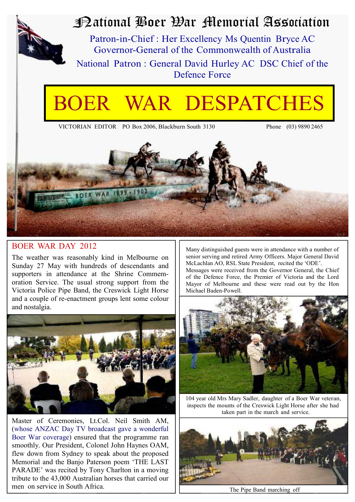

# National Boer War Memorial Association

Patron-in-Chief : Her Excellency Ms Quentin Bryce AC Governor-General of the Commonwealth of Australia National Patron : General David Hurley AC DSC Chief of the Defence Force

# WAR DESPATCHES

VICTORIAN EDITOR PO Box 2006, Blackburn South 3130 Phone (03) 9890 2465



#### BOER WAR DAY 2012

The weather was reasonably kind in Melbourne on Sunday 27 May with hundreds of descendants and supporters in attendance at the Shrine Commemoration Service. The usual strong support from the Victoria Police Pipe Band, the Creswick Light Horse and a couple of re-enactment groups lent some colour and nostalgia.



Master of Ceremonies, Lt.Col. Neil Smith AM, (whose ANZAC Day TV broadcast gave a wonderful Boer War coverage) ensured that the programme ran smoothly. Our President, Colonel John Haynes OAM, flew down from Sydney to speak about the proposed Memorial and the Banjo Paterson poem 'THE LAST PARADE' was recited by Tony Charlton in a moving tribute to the 43,000 Australian horses that carried our men on service in South Africa.

Many distinguished guests were in attendance with a number of senior serving and retired Army Officers. Major General David McLachlan AO, RSL State President, recited the 'ODE'. Messages were received from the Governor General, the Chief of the Defence Force, the Premier of Victoria and the Lord Mayor of Melbourne and these were read out by the Hon Michael Baden-Powell.



104 year old Mrs Mary Sadler, daughter of a Boer War veteran, inspects the mounts of the Creswick Light Horse after she had taken part in the march and service.



The Pipe Band marching off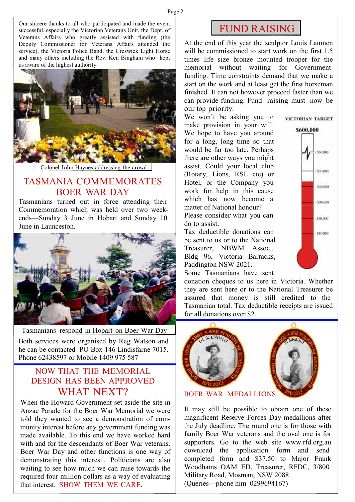Our sincere thanks to all who participated and made the event successful, especially the Victorian Veterans Unit, the Dept. of Veterans Affairs who greatly assisted with funding (the Deputy Commissioner for Veterans Affairs attended the service), the Victoria Police Band, the Creswick Light Horse and many others including the Rev. Ken Bingham who kept us aware of the highest authority.



Colonel John Haynes addressing the crowd

## TASMANIA COMMEMORATES BOER WAR DAY

Tasmanians turned out in force attending their Commemoration which was held over two weekends—Sunday 3 June in Hobart and Sunday 10 June in Launceston.



Tasmanians respond in Hobart on Boer War Day Both services were organised by Reg Watson and he can be contacted PO Box 146 Lindisfarne 7015. Phone 62438597 or Mobile 1409 975 587

### NOW THAT THE MEMORIAL DESIGN HAS BEEN APPROVED WHAT NEXT?

When the Howard Government set aside the site in Anzac Parade for the Boer War Memorial we were told they wanted to see a demonstration of community interest before any government funding was made available. To this end we have worked hard with and for the descendants of Boer War veterans. Boer War Day and other functions is one way of demonstrating this interest.. Politicians are also waiting to see how much we can raise towards the required four million dollars as a way of evaluating that interest. SHOW THEM WE CARE.

## FUND RAISING

At the end of this year the sculptor Louis Laumen will be commissioned to start work on the first 1.5 times life size bronze mounted trooper for the memorial without waiting for Government funding. Time constraints demand that we make a start on the work and at least get the first horseman finished. It can not however proceed faster than we can provide funding. Fund raising must now be our top priority.

We won't be asking you to make provision in your will. We hope to have you around for a long, long time so that would be far too late. Perhaps there are other ways you might assist. Could your local club (Rotary, Lions, RSL etc) or Hotel, or the Company you work for help in this cause which has now become a matter of National honour? Please consider what you can do to assist.

Tax deductible donations can be sent to us or to the National Treasurer, NBWM Assoc., Bldg 96, Victoria Barracks, Paddington NSW 2021.



\$600,000 \$60,000 \$50,000  $-540,000$  $-530,000$  $.520000$  $-510,000$ 

Some Tasmanians have sent

donation cheques to us here in Victoria. Whether they are sent here or to the National Treasurer be assured that money is still credited to the Tasmanian total. Tax deductible receipts are issued for all donations over \$2.



BOER WAR MEDALLIONS

It may still be possible to obtain one of these magnificent Reserve Forces Day medallions after the July deadline. The round one is for those with family Boer War veterans and the oval one is for supporters. Go to the web site www.rfd.org.au download the application form and send completed form and \$37.50 to Major Frank Woodhams OAM ED, Treasurer, RFDC, 3/800 Military Road, Mosman, NSW 2088 (Queries—phone him 0299694167)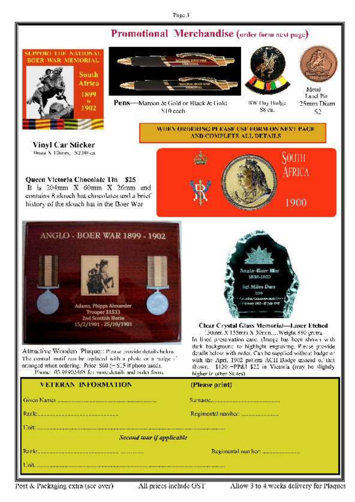#### Page 3

## Promotional Merchandise (order form next page)





Pens-Maroon & Gold or Black & Gold S10 cach



BW Day Badge

S8 cu.



Metal Label Pin 25mm Diam S2

Vinyl Car Sticker 0mm X 100mm S2.00 ca.

Queen Victoria Chocolate Tin \$25 It is 204mm X 60mm X 26mm and contains 8 slouch hat chocolates and a brief history of the slouch hat in the Boer War



WHEN ORDERING PLEASE USE FORM ON NEXT PAGE AND COMPLETE ALL DETAILS.



Attractive Wooden. Plaque: Please provide details helow-The central mutif can be replaced with a photo or a narige if arranged when ordering. Price S60 (-S15 if photo used). Phone 03-98902465 for more details and order form.

## Anglo-Buer Mar 1808-1802 Hiles Dare 1106 flat Channen mit lib-**Rimary 2002 - 25 Telm 1900**

**Clear Crystal Glass Memorial-Laser Etched** 30mm X 155mm X 30mm....Weight 880 groms

In lined presentation case, (Image has been shown with dark background to highlight engraving. Please provide details below with order. Can be supplied without badge or with the April 1902 patiem ACII Badge instead of that shown. \$120 -PP&I \$22 in Victoria (may be slightly higher in other States).

| VETERAN INFORMATION                               | (Please print)                                            |  |
|---------------------------------------------------|-----------------------------------------------------------|--|
|                                                   |                                                           |  |
| a da da sensa da dago da sensa da dago da sensa d |                                                           |  |
|                                                   |                                                           |  |
| Second tour if applicable                         |                                                           |  |
|                                                   | a sa mga sanggunian ng Kabupatèn Kabupatèn Kabupatèn Kabu |  |
|                                                   |                                                           |  |

Post & Packaging extra (see over).

All prices include GST

Allow 3 to 4 weeks delivery for Plaques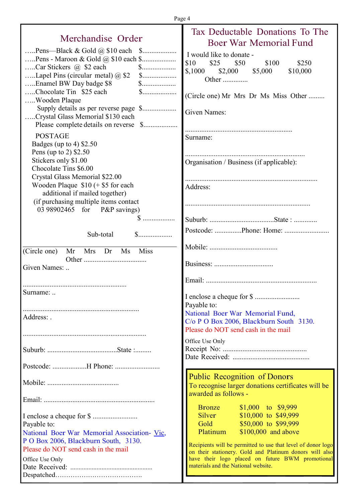|                                                                                                                           | Tax Deductable Donations To The                                                                                                     |
|---------------------------------------------------------------------------------------------------------------------------|-------------------------------------------------------------------------------------------------------------------------------------|
| Merchandise Order                                                                                                         | Boer War Memorial Fund                                                                                                              |
| Pens—Black & Gold $\omega$ \$10 each \$<br>Car Stickers @ \$2 each<br>Lapel Pins (circular metal) $@$ \$2<br>$\mathbb{S}$ | I would like to donate -<br>\$10<br>\$25<br>\$50<br>\$100<br>\$250<br>$\text{\$,1000} \qquad \text{\$2,000}$<br>\$5,000<br>\$10,000 |
| Enamel BW Day badge \$8<br>$\mathbb{S}$<br>Chocolate Tin \$25 each<br>$\mathbb{S}$<br>Wooden Plaque                       | Other<br>(Circle one) Mr Mrs Dr Ms Miss Other                                                                                       |
| Crystal Glass Memorial \$130 each                                                                                         | Given Names:                                                                                                                        |
| <b>POSTAGE</b><br>Badges (up to 4) $$2.50$<br>Pens (up to 2) \$2.50                                                       | Surname:                                                                                                                            |
| Stickers only \$1.00<br>Chocolate Tins \$6.00<br>Crystal Glass Memorial \$22.00                                           | Organisation / Business (if applicable):                                                                                            |
| Wooden Plaque $$10 (+ $5$ for each<br>additional if mailed together)                                                      | Address:                                                                                                                            |
| (if purchasing multiple items contact<br>03 98902465 for P&P savings)                                                     |                                                                                                                                     |
| Sub-total                                                                                                                 |                                                                                                                                     |
| (Circle one)<br>Mrs Dr Ms<br><b>Miss</b><br>Mr                                                                            |                                                                                                                                     |
| Given Names:                                                                                                              |                                                                                                                                     |
| Surname:                                                                                                                  |                                                                                                                                     |
| Address:                                                                                                                  | Payable to:<br>National Boer War Memorial Fund,<br>C/o P O Box 2006, Blackburn South 3130.<br>Please do NOT send cash in the mail   |
|                                                                                                                           | Office Use Only                                                                                                                     |
|                                                                                                                           |                                                                                                                                     |
|                                                                                                                           | <b>Public Recognition of Donors</b><br>To recognise larger donations certificates will be<br>awarded as follows -                   |
|                                                                                                                           | $$1,000$ to $$9,999$<br><b>Bronze</b>                                                                                               |
| Payable to:<br>National Boer War Memorial Association- Vic,                                                               | Silver<br>$$10,000$ to $$49,999$<br>\$50,000 to \$99,999<br>Gold<br>Platinum<br>$$100,000$ and above                                |
| P O Box 2006, Blackburn South, 3130.<br>Please do NOT send cash in the mail                                               | Recipients will be permitted to use that level of donor logo<br>on their stationery. Gold and Platinum donors will also             |
| Office Use Only                                                                                                           | have their logo placed on future BWM promotional<br>materials and the National website.                                             |

J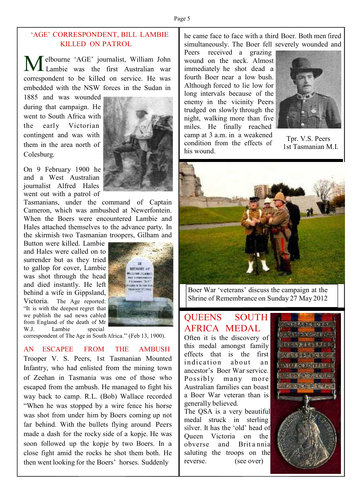#### 'AGE' CORRESPONDENT, BILL LAMBIE KILLED ON PATROL

Melbourne 'AGE' journalist, William John<br>Lambie was the first Australian war elbourne 'AGE' journalist, William John correspondent to be killed on service. He was embedded with the NSW forces in the Sudan in

1885 and was wounded during that campaign. He went to South Africa with the early Victorian contingent and was with them in the area north of Colesburg.

On 9 February 1900 he and a West Australian journalist Alfred Hales went out with a patrol of

Tasmanians, under the command of Captain Cameron, which was ambushed at Newerfontein. When the Boers were encountered Lambie and Hales attached themselves to the advance party. In the skirmish two Tasmanian troopers, Gilham and

Button were killed. Lambie and Hales were called on to surrender but as they tried to gallop for cover, Lambie was shot through the head and died instantly. He left behind a wife in Gippsland, Victoria. The Age reported: "It is with the deepest regret that we publish the sad news cabled from England of the death of Mr<br>W.J. Lambie special Lambie special



correspondent of The Age in South Africa." (Feb 13, 1900).

#### AN ESCAPEE FROM THE AMBUSH

Trooper V. S. Peers, 1st Tasmanian Mounted Infantry, who had enlisted from the mining town of Zeehan in Tasmania was one of those who escaped from the ambush. He managed to fight his way back to camp. R.L. (Bob) Wallace recorded "When he was stopped by a wire fence his horse was shot from under him by Boers coming up not far behind. With the bullets flying around Peers made a dash for the rocky side of a kopje. He was soon followed up the kopje by two Boers. In a close fight amid the rocks he shot them both. He then went looking for the Boers' horses. Suddenly

he came face to face with a third Boer. Both men fired simultaneously. The Boer fell severely wounded and

Peers received a grazing wound on the neck. Almost immediately he shot dead a fourth Boer near a low bush. Although forced to lie low for long intervals because of the enemy in the vicinity Peers trudged on slowly through the night, walking more than five miles. He finally reached camp at 3 a.m. in a weakened condition from the effects of his wound.



Tpr. V.S. Peers 1st Tasmanian M.I.



Boer War 'veterans' discuss the campaign at the Shrine of Remembrance on Sunday 27 May 2012

## QUEENS SOUTH AFRICA MEDAL

Often it is the discovery of this medal amongst family effects that is the first indication about an ancestor's Boer War service. Possibly many more Australian families can boast a Boer War veteran than is generally believed.

The QSA is a very beautiful medal struck in sterling silver. It has the 'old' head of Queen Victoria on the obverse and Brit a nnia saluting the troops on the reverse. (see over)



**Presidents**